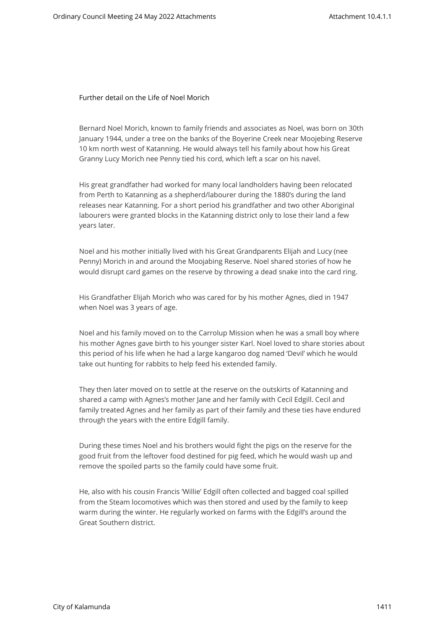Further detail on the Life of Noel Morich

Bernard Noel Morich, known to family friends and associates as Noel, was born on 30th January 1944, under a tree on the banks of the Boyerine Creek near Moojebing Reserve 10 km north west of Katanning. He would always tell his family about how his Great Granny Lucy Morich nee Penny tied his cord, which left a scar on his navel.

His great grandfather had worked for many local landholders having been relocated from Perth to Katanning as a shepherd/labourer during the 1880's during the land releases near Katanning. For a short period his grandfather and two other Aboriginal labourers were granted blocks in the Katanning district only to lose their land a few years later.

Noel and his mother initially lived with his Great Grandparents Elijah and Lucy (nee Penny) Morich in and around the Moojabing Reserve. Noel shared stories of how he would disrupt card games on the reserve by throwing a dead snake into the card ring.

His Grandfather Elijah Morich who was cared for by his mother Agnes, died in 1947 when Noel was 3 years of age.

Noel and his family moved on to the Carrolup Mission when he was a small boy where his mother Agnes gave birth to his younger sister Karl. Noel loved to share stories about this period of his life when he had a large kangaroo dog named 'Devil' which he would take out hunting for rabbits to help feed his extended family.

They then later moved on to settle at the reserve on the outskirts of Katanning and shared a camp with Agnes's mother Jane and her family with Cecil Edgill. Cecil and family treated Agnes and her family as part of their family and these ties have endured through the years with the entire Edgill family.

During these times Noel and his brothers would fight the pigs on the reserve for the good fruit from the leftover food destined for pig feed, which he would wash up and remove the spoiled parts so the family could have some fruit.

He, also with his cousin Francis 'Willie' Edgill often collected and bagged coal spilled from the Steam locomotives which was then stored and used by the family to keep warm during the winter. He regularly worked on farms with the Edgill's around the Great Southern district.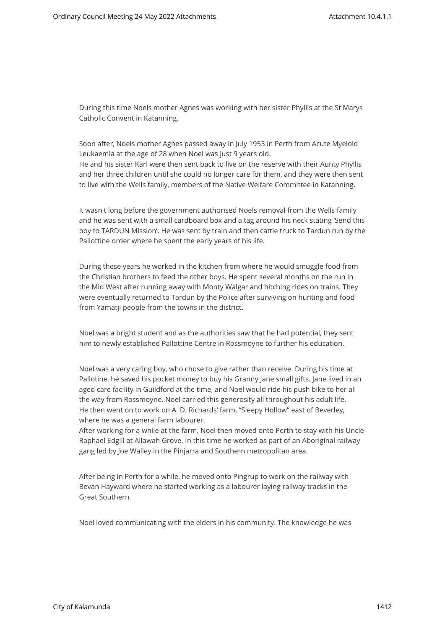During this time Noels mother Agnes was working with her sister Phyllis at the St Marys Catholic Convent in Katanning.

Soon after, Noels mother Agnes passed away in July 1953 in Perth from Acute Myeloid Leukaemia at the age of 28 when Noel was just 9 years old. He and his sister Karl were then sent back to live on the reserve with their Aunty Phyllis and her three children until she could no longer care for them, and they were then sent to live with the Wells family, members of the Native Welfare Committee in Katanning.

It wasn't long before the government authorised Noels removal from the Wells family and he was sent with a small cardboard box and a tag around his neck stating 'Send this boy to TARDUN Mission'. He was sent by train and then cattle truck to Tardun run by the Pallottine order where he spent the early years of his life.

During these years he worked in the kitchen from where he would smuggle food from the Christian brothers to feed the other boys. He spent several months on the run in the Mid West after running away with Monty Walgar and hitching rides on trains. They were eventually returned to Tardun by the Police after surviving on hunting and food from Yamatji people from the towns in the district.

Noel was a bright student and as the authorities saw that he had potential, they sent him to newly established Pallottine Centre in Rossmoyne to further his education.

Noel was a very caring boy, who chose to give rather than receive. During his time at Pallotine, he saved his pocket money to buy his Granny Jane small gifts. Jane lived in an aged care facility in Guildford at the time, and Noel would ride his push bike to her all the way from Rossmoyne. Noel carried this generosity all throughout his adult life. He then went on to work on A. D. Richards' farm, "Sleepy Hollow" east of Beverley, where he was a general farm labourer.

After working for a while at the farm, Noel then moved onto Perth to stay with his Uncle Raphael Edgill at Allawah Grove. In this time he worked as part of an Aboriginal railway gang led by Joe Walley in the Pinjarra and Southern metropolitan area.

After being in Perth for a while, he moved onto Pingrup to work on the railway with Bevan Hayward where he started working as a labourer laying railway tracks in the Great Southern.

Noel loved communicating with the elders in his community. The knowledge he was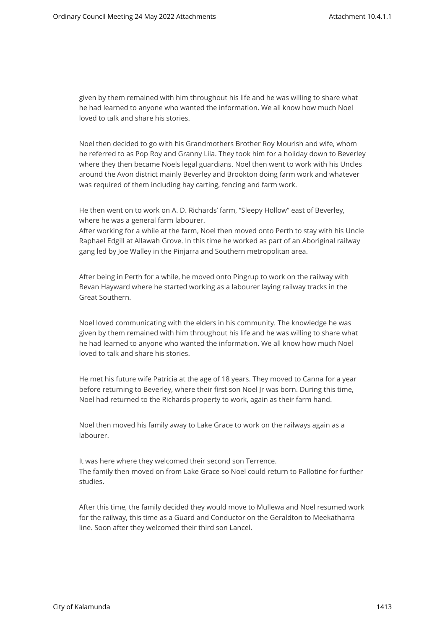given by them remained with him throughout his life and he was willing to share what he had learned to anyone who wanted the information. We all know how much Noel loved to talk and share his stories.

Noel then decided to go with his Grandmothers Brother Roy Mourish and wife, whom he referred to as Pop Roy and Granny Lila. They took him for a holiday down to Beverley where they then became Noels legal guardians. Noel then went to work with his Uncles around the Avon district mainly Beverley and Brookton doing farm work and whatever was required of them including hay carting, fencing and farm work.

He then went on to work on A. D. Richards' farm, "Sleepy Hollow" east of Beverley, where he was a general farm labourer.

After working for a while at the farm, Noel then moved onto Perth to stay with his Uncle Raphael Edgill at Allawah Grove. In this time he worked as part of an Aboriginal railway gang led by Joe Walley in the Pinjarra and Southern metropolitan area.

After being in Perth for a while, he moved onto Pingrup to work on the railway with Bevan Hayward where he started working as a labourer laying railway tracks in the Great Southern.

Noel loved communicating with the elders in his community. The knowledge he was given by them remained with him throughout his life and he was willing to share what he had learned to anyone who wanted the information. We all know how much Noel loved to talk and share his stories.

He met his future wife Patricia at the age of 18 years. They moved to Canna for a year before returning to Beverley, where their first son Noel Jr was born. During this time, Noel had returned to the Richards property to work, again as their farm hand.

Noel then moved his family away to Lake Grace to work on the railways again as a labourer.

It was here where they welcomed their second son Terrence. The family then moved on from Lake Grace so Noel could return to Pallotine for further studies.

After this time, the family decided they would move to Mullewa and Noel resumed work for the railway, this time as a Guard and Conductor on the Geraldton to Meekatharra line. Soon after they welcomed their third son Lancel.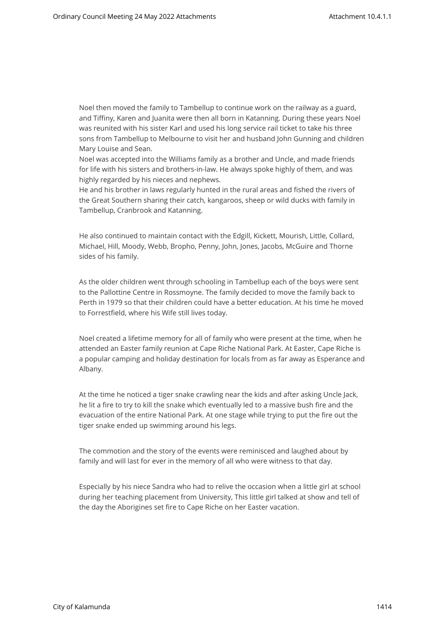Noel then moved the family to Tambellup to continue work on the railway as a guard, and Tiffiny, Karen and Juanita were then all born in Katanning. During these years Noel was reunited with his sister Karl and used his long service rail ticket to take his three sons from Tambellup to Melbourne to visit her and husband John Gunning and children Mary Louise and Sean.

Noel was accepted into the Williams family as a brother and Uncle, and made friends for life with his sisters and brothers-in-law. He always spoke highly of them, and was highly regarded by his nieces and nephews.

He and his brother in laws regularly hunted in the rural areas and fished the rivers of the Great Southern sharing their catch, kangaroos, sheep or wild ducks with family in Tambellup, Cranbrook and Katanning.

He also continued to maintain contact with the Edgill, Kickett, Mourish, Little, Collard, Michael, Hill, Moody, Webb, Bropho, Penny, John, Jones, Jacobs, McGuire and Thorne sides of his family.

As the older children went through schooling in Tambellup each of the boys were sent to the Pallottine Centre in Rossmoyne. The family decided to move the family back to Perth in 1979 so that their children could have a better education. At his time he moved to Forrestfield, where his Wife still lives today.

Noel created a lifetime memory for all of family who were present at the time, when he attended an Easter family reunion at Cape Riche National Park. At Easter, Cape Riche is a popular camping and holiday destination for locals from as far away as Esperance and Albany.

At the time he noticed a tiger snake crawling near the kids and after asking Uncle Jack, he lit a fire to try to kill the snake which eventually led to a massive bush fire and the evacuation of the entire National Park. At one stage while trying to put the fire out the tiger snake ended up swimming around his legs.

The commotion and the story of the events were reminisced and laughed about by family and will last for ever in the memory of all who were witness to that day.

Especially by his niece Sandra who had to relive the occasion when a little girl at school during her teaching placement from University, This little girl talked at show and tell of the day the Aborigines set fire to Cape Riche on her Easter vacation.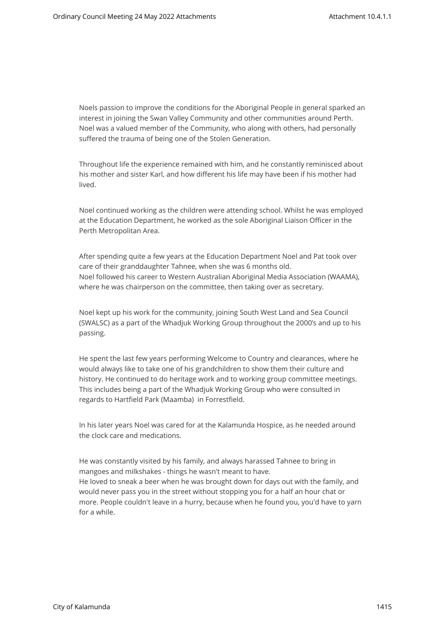Noels passion to improve the conditions for the Aboriginal People in general sparked an interest in joining the Swan Valley Community and other communities around Perth. Noel was a valued member of the Community, who along with others, had personally suffered the trauma of being one of the Stolen Generation.

Throughout life the experience remained with him, and he constantly reminisced about his mother and sister Karl, and how different his life may have been if his mother had lived.

Noel continued working as the children were attending school. Whilst he was employed at the Education Department, he worked as the sole Aboriginal Liaison Officer in the Perth Metropolitan Area.

After spending quite a few years at the Education Department Noel and Pat took over care of their granddaughter Tahnee, when she was 6 months old. Noel followed his career to Western Australian Aboriginal Media Association (WAAMA), where he was chairperson on the committee, then taking over as secretary.

Noel kept up his work for the community, joining South West Land and Sea Council (SWALSC) as a part of the Whadjuk Working Group throughout the 2000's and up to his passing.

He spent the last few years performing Welcome to Country and clearances, where he would always like to take one of his grandchildren to show them their culture and history. He continued to do heritage work and to working group committee meetings. This includes being a part of the Whadjuk Working Group who were consulted in regards to Hartfield Park (Maamba) in Forrestfield.

In his later years Noel was cared for at the Kalamunda Hospice, as he needed around the clock care and medications.

He was constantly visited by his family, and always harassed Tahnee to bring in mangoes and milkshakes - things he wasn't meant to have. He loved to sneak a beer when he was brought down for days out with the family, and would never pass you in the street without stopping you for a half an hour chat or more. People couldn't leave in a hurry, because when he found you, you'd have to yarn for a while.